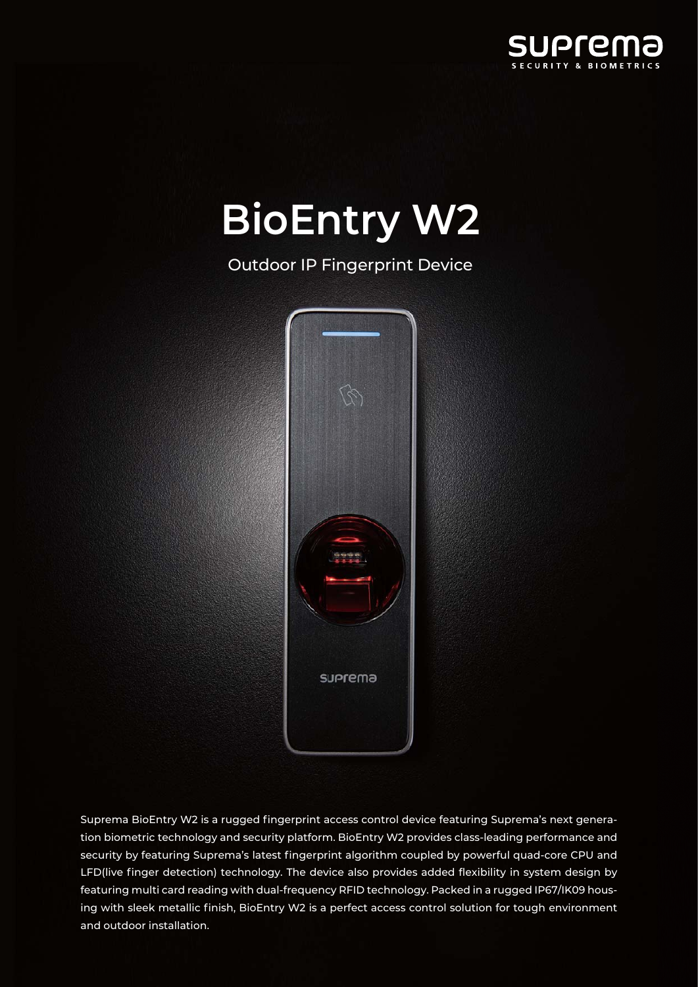

## **BioEntry W2**

Outdoor IP Fingerprint Device



Suprema BioEntry W2 is a rugged fingerprint access control device featuring Suprema's next generation biometric technology and security platform. BioEntry W2 provides class-leading performance and security by featuring Suprema's latest fingerprint algorithm coupled by powerful quad-core CPU and LFD(live finger detection) technology. The device also provides added flexibility in system design by featuring multi card reading with dual-frequency RFID technology. Packed in a rugged IP67/IK09 housing with sleek metallic finish, BioEntry W2 is a perfect access control solution for tough environment and outdoor installation.